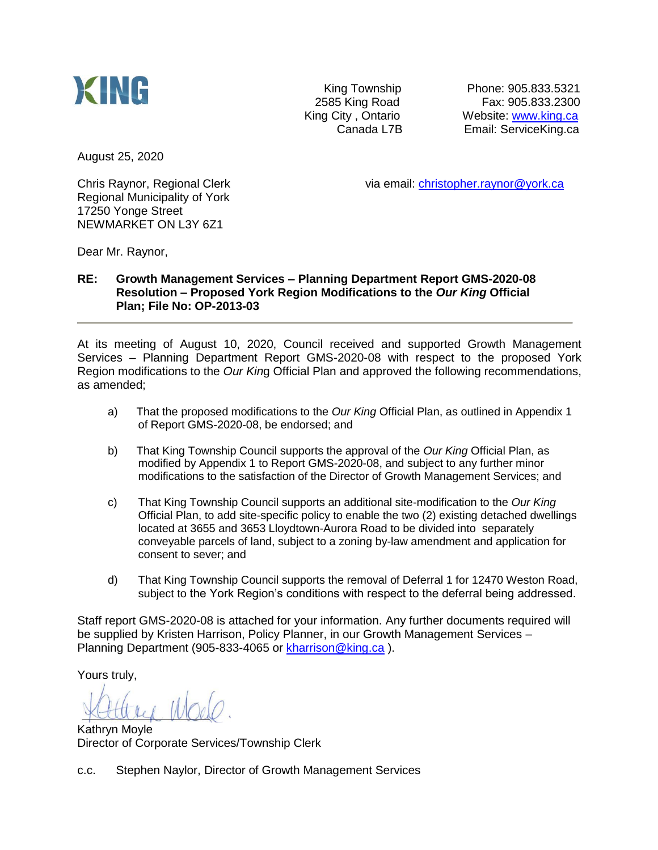

King Township Phone: 905.833.5321 2585 King Road<br>
Fax: 905.833.2300<br>
King City, Ontario 
Website: www.king.ca Website: [www.king.ca](http://www.king.ca/) Canada L7B Email: ServiceKing.ca

August 25, 2020

Regional Municipality of York 17250 Yonge Street NEWMARKET ON L3Y 6Z1

Chris Raynor, Regional Clerk via email: [christopher.raynor@york.ca](mailto:christopher.raynor@york.ca)

Dear Mr. Raynor,

## **RE: Growth Management Services – Planning Department Report GMS-2020-08 Resolution – Proposed York Region Modifications to the** *Our King* **Official Plan; File No: OP-2013-03**

At its meeting of August 10, 2020, Council received and supported Growth Management Services – Planning Department Report GMS-2020-08 with respect to the proposed York Region modifications to the *Our Kin*g Official Plan and approved the following recommendations, as amended;

- a) That the proposed modifications to the *Our King* Official Plan, as outlined in Appendix 1 of Report GMS-2020-08, be endorsed; and
- b) That King Township Council supports the approval of the *Our King* Official Plan, as modified by Appendix 1 to Report GMS-2020-08, and subject to any further minor modifications to the satisfaction of the Director of Growth Management Services; and
- c) That King Township Council supports an additional site-modification to the *Our King* Official Plan, to add site-specific policy to enable the two (2) existing detached dwellings located at 3655 and 3653 Lloydtown-Aurora Road to be divided into separately conveyable parcels of land, subject to a zoning by-law amendment and application for consent to sever; and
- d) That King Township Council supports the removal of Deferral 1 for 12470 Weston Road, subject to the York Region's conditions with respect to the deferral being addressed.

Staff report GMS-2020-08 is attached for your information. Any further documents required will be supplied by Kristen Harrison, Policy Planner, in our Growth Management Services – Planning Department (905-833-4065 or [kharrison@king.ca](mailto:kharrison@king.ca) ).

Yours truly,

Kathryn Moyle Director of Corporate Services/Township Clerk

c.c. Stephen Naylor, Director of Growth Management Services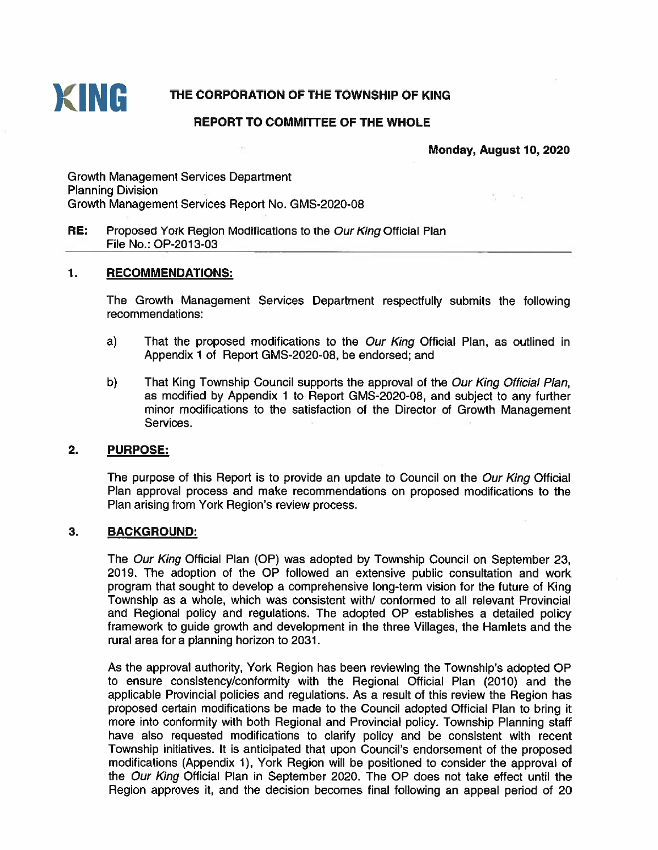

# THE CORPORATION OF THE TOWNSHIP OF KING

## **REPORT TO COMMITTEE OF THE WHOLE**

Monday, August 10, 2020

April 1980

**Growth Management Services Department Planning Division** Growth Management Services Report No. GMS-2020-08

#### RE: Proposed York Region Modifications to the Our King Official Plan File No.: OP-2013-03

#### $\mathbf{1}$ . **RECOMMENDATIONS:**

The Growth Management Services Department respectfully submits the following recommendations:

- $a)$ That the proposed modifications to the Our King Official Plan, as outlined in Appendix 1 of Report GMS-2020-08, be endorsed; and
- b) That King Township Council supports the approval of the Our King Official Plan. as modified by Appendix 1 to Report GMS-2020-08, and subject to any further minor modifications to the satisfaction of the Director of Growth Management Services.

#### $2.$ **PURPOSE:**

The purpose of this Report is to provide an update to Council on the Our King Official Plan approval process and make recommendations on proposed modifications to the Plan arising from York Region's review process.

#### $3.$ **BACKGROUND:**

The Our King Official Plan (OP) was adopted by Township Council on September 23, 2019. The adoption of the OP followed an extensive public consultation and work program that sought to develop a comprehensive long-term vision for the future of King Township as a whole, which was consistent with/ conformed to all relevant Provincial and Regional policy and regulations. The adopted OP establishes a detailed policy framework to guide growth and development in the three Villages, the Hamlets and the rural area for a planning horizon to 2031.

As the approval authority, York Region has been reviewing the Township's adopted OP to ensure consistency/conformity with the Regional Official Plan (2010) and the applicable Provincial policies and regulations. As a result of this review the Region has proposed certain modifications be made to the Council adopted Official Plan to bring it more into conformity with both Regional and Provincial policy. Township Planning staff have also requested modifications to clarify policy and be consistent with recent Township initiatives. It is anticipated that upon Council's endorsement of the proposed modifications (Appendix 1), York Region will be positioned to consider the approval of the Our King Official Plan in September 2020. The OP does not take effect until the Region approves it, and the decision becomes final following an appeal period of 20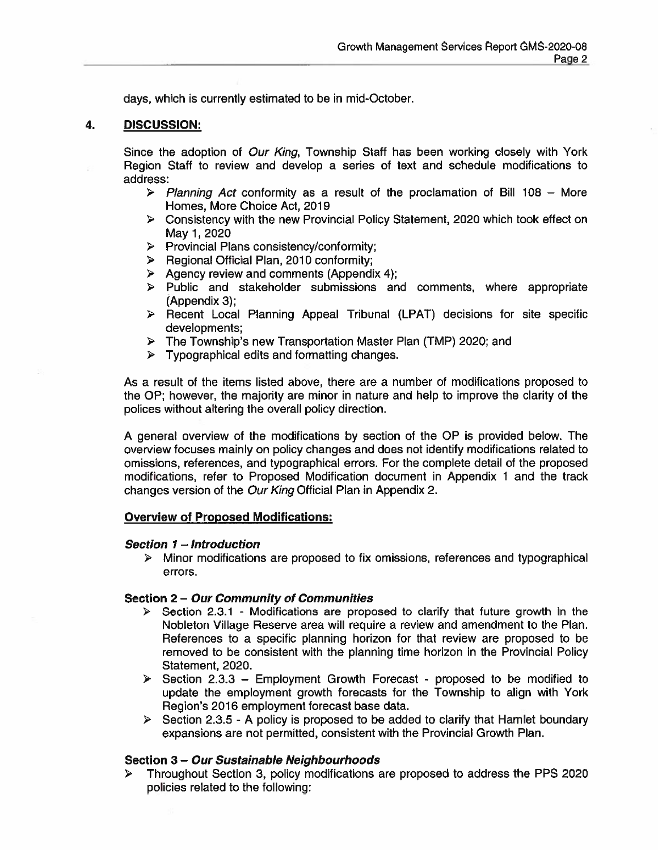days, which is currently estimated to be in mid-October.

#### 4. **DISCUSSION:**

Since the adoption of Our King, Township Staff has been working closely with York Region Staff to review and develop a series of text and schedule modifications to address:

- > Planning Act conformity as a result of the proclamation of Bill 108 More Homes, More Choice Act, 2019
- $\triangleright$  Consistency with the new Provincial Policy Statement, 2020 which took effect on May 1, 2020
- $\triangleright$  Provincial Plans consistency/conformity;
- > Regional Official Plan, 2010 conformity;
- $\triangleright$  Agency review and comments (Appendix 4);
- $\triangleright$  Public and stakeholder submissions and comments, where appropriate (Appendix 3);
- > Recent Local Planning Appeal Tribunal (LPAT) decisions for site specific developments:
- $\triangleright$  The Township's new Transportation Master Plan (TMP) 2020; and
- $\triangleright$  Typographical edits and formatting changes.

As a result of the items listed above, there are a number of modifications proposed to the OP; however, the majority are minor in nature and help to improve the clarity of the polices without altering the overall policy direction.

A general overview of the modifications by section of the OP is provided below. The overview focuses mainly on policy changes and does not identify modifications related to omissions, references, and typographical errors. For the complete detail of the proposed modifications, refer to Proposed Modification document in Appendix 1 and the track changes version of the Our King Official Plan in Appendix 2.

## **Overview of Proposed Modifications:**

### Section 1 - Introduction

 $\triangleright$  Minor modifications are proposed to fix omissions, references and typographical errors.

## Section 2 - Our Community of Communities

- > Section 2.3.1 Modifications are proposed to clarify that future growth in the Nobleton Village Reserve area will require a review and amendment to the Plan. References to a specific planning horizon for that review are proposed to be removed to be consistent with the planning time horizon in the Provincial Policy Statement, 2020.
- $\triangleright$  Section 2.3.3 Employment Growth Forecast proposed to be modified to update the employment growth forecasts for the Township to align with York Region's 2016 employment forecast base data.
- $\triangleright$  Section 2.3.5 A policy is proposed to be added to clarify that Hamlet boundary expansions are not permitted, consistent with the Provincial Growth Plan.

## Section 3 - Our Sustainable Neighbourhoods

Throughout Section 3, policy modifications are proposed to address the PPS 2020 ➤ policies related to the following: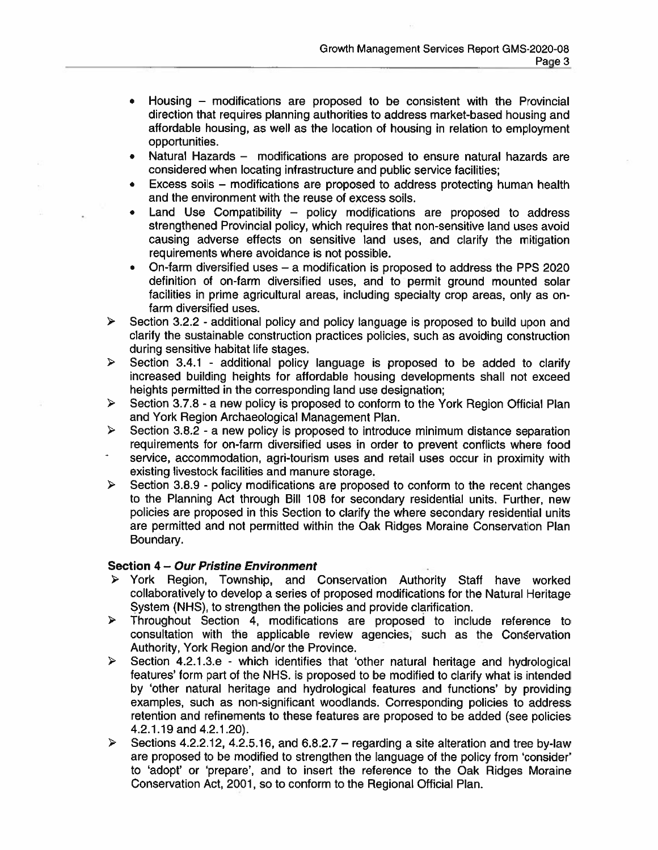- Housing modifications are proposed to be consistent with the Provincial direction that requires planning authorities to address market-based housing and affordable housing, as well as the location of housing in relation to employment opportunities.
- Natural Hazards modifications are proposed to ensure natural hazards are  $\bullet$ considered when locating infrastructure and public service facilities;
- Excess soils modifications are proposed to address protecting human health and the environment with the reuse of excess soils.
- Land Use Compatibility policy modifications are proposed to address strengthened Provincial policy, which requires that non-sensitive land uses avoid causing adverse effects on sensitive land uses, and clarify the mitigation requirements where avoidance is not possible.
- On-farm diversified uses a modification is proposed to address the PPS 2020  $\bullet$ definition of on-farm diversified uses, and to permit ground mounted solar facilities in prime agricultural areas, including specialty crop areas, only as onfarm diversified uses.
- $\triangleright$ Section 3.2.2 - additional policy and policy language is proposed to build upon and clarify the sustainable construction practices policies, such as avoiding construction during sensitive habitat life stages.
- Section 3.4.1 additional policy language is proposed to be added to clarify  $\triangleright$ increased building heights for affordable housing developments shall not exceed heights permitted in the corresponding land use designation;
- Section 3.7.8 a new policy is proposed to conform to the York Region Official Plan  $\blacktriangleright$ and York Region Archaeological Management Plan.
- $\blacktriangleright$ Section 3.8.2 - a new policy is proposed to introduce minimum distance separation requirements for on-farm diversified uses in order to prevent conflicts where food service, accommodation, agri-tourism uses and retail uses occur in proximity with existing livestock facilities and manure storage.
- $\blacktriangleright$ Section 3.8.9 - policy modifications are proposed to conform to the recent changes to the Planning Act through Bill 108 for secondary residential units. Further, new policies are proposed in this Section to clarify the where secondary residential units are permitted and not permitted within the Oak Ridges Moraine Conservation Plan Boundary.

## Section 4 – Our Pristine Environment

- York Region, Township, and Conservation Authority Staff have worked ≯ collaboratively to develop a series of proposed modifications for the Natural Heritage System (NHS), to strengthen the policies and provide clarification.
- $\blacktriangleright$ Throughout Section 4, modifications are proposed to include reference to consultation with the applicable review agencies, such as the Conservation Authority, York Region and/or the Province.
- $\blacktriangleright$ Section 4.2.1.3.e - which identifies that 'other natural heritage and hydrological features' form part of the NHS. is proposed to be modified to clarify what is intended by 'other natural heritage and hydrological features and functions' by providing examples, such as non-significant woodlands. Corresponding policies to address retention and refinements to these features are proposed to be added (see policies 4.2.1.19 and 4.2.1.20).
- Sections 4.2.2.12, 4.2.5.16, and  $6.8.2.7 -$  regarding a site alteration and tree by-law  $\triangleright$ are proposed to be modified to strengthen the language of the policy from 'consider' to 'adopt' or 'prepare', and to insert the reference to the Oak Ridges Moraine Conservation Act, 2001, so to conform to the Regional Official Plan.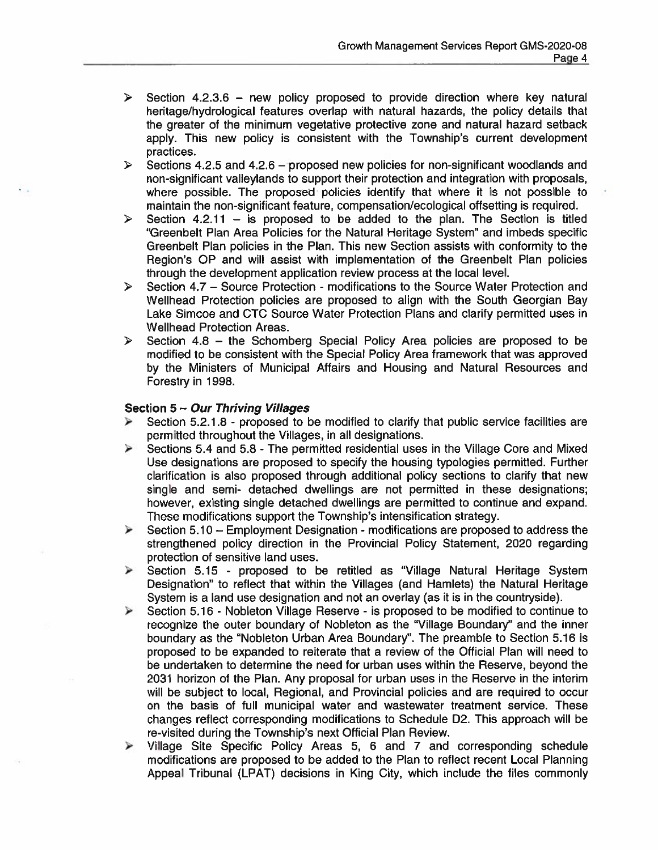- Section 4.2.3.6 new policy proposed to provide direction where key natural  $\blacktriangleright$ heritage/hydrological features overlap with natural hazards, the policy details that the greater of the minimum vegetative protective zone and natural hazard setback apply. This new policy is consistent with the Township's current development practices.
- $\blacktriangleright$ Sections 4.2.5 and 4.2.6 - proposed new policies for non-significant woodlands and non-significant valleylands to support their protection and integration with proposals, where possible. The proposed policies identify that where it is not possible to maintain the non-significant feature, compensation/ecological offsetting is required.
- Section 4.2.11 is proposed to be added to the plan. The Section is titled  $\triangleright$ "Greenbelt Plan Area Policies for the Natural Heritage System" and imbeds specific Greenbelt Plan policies in the Plan. This new Section assists with conformity to the Region's OP and will assist with implementation of the Greenbelt Plan policies through the development application review process at the local level.
- Section 4.7 Source Protection modifications to the Source Water Protection and  $\triangleright$ Wellhead Protection policies are proposed to align with the South Georgian Bay Lake Simcoe and CTC Source Water Protection Plans and clarify permitted uses in **Wellhead Protection Areas.**
- Section 4.8 the Schomberg Special Policy Area policies are proposed to be  $\triangleright$ modified to be consistent with the Special Policy Area framework that was approved by the Ministers of Municipal Affairs and Housing and Natural Resources and Forestry in 1998.

## Section 5 - Our Thriving Villages

- Section 5.2.1.8 proposed to be modified to clarify that public service facilities are ⋗ permitted throughout the Villages, in all designations.
- Z Sections 5.4 and 5.8 - The permitted residential uses in the Village Core and Mixed Use designations are proposed to specify the housing typologies permitted. Further clarification is also proposed through additional policy sections to clarify that new single and semi- detached dwellings are not permitted in these designations; however, existing single detached dwellings are permitted to continue and expand. These modifications support the Township's intensification strategy.
- Section 5.10 Employment Designation modifications are proposed to address the  $\blacktriangleleft$ strengthened policy direction in the Provincial Policy Statement, 2020 regarding protection of sensitive land uses.
- Section 5.15 proposed to be retitled as "Village Natural Heritage System  $\blacktriangle$ Designation" to reflect that within the Villages (and Hamlets) the Natural Heritage System is a land use designation and not an overlay (as it is in the countryside).
- Section 5.16 Nobleton Village Reserve is proposed to be modified to continue to  $\prec$ recognize the outer boundary of Nobleton as the "Village Boundary" and the inner boundary as the "Nobleton Urban Area Boundary". The preamble to Section 5.16 is proposed to be expanded to reiterate that a review of the Official Plan will need to be undertaken to determine the need for urban uses within the Reserve, beyond the 2031 horizon of the Plan. Any proposal for urban uses in the Reserve in the interim will be subject to local, Regional, and Provincial policies and are required to occur on the basis of full municipal water and wastewater treatment service. These changes reflect corresponding modifications to Schedule D2. This approach will be re-visited during the Township's next Official Plan Review.
- Village Site Specific Policy Areas 5, 6 and 7 and corresponding schedule ⋗ modifications are proposed to be added to the Plan to reflect recent Local Planning Appeal Tribunal (LPAT) decisions in King City, which include the files commonly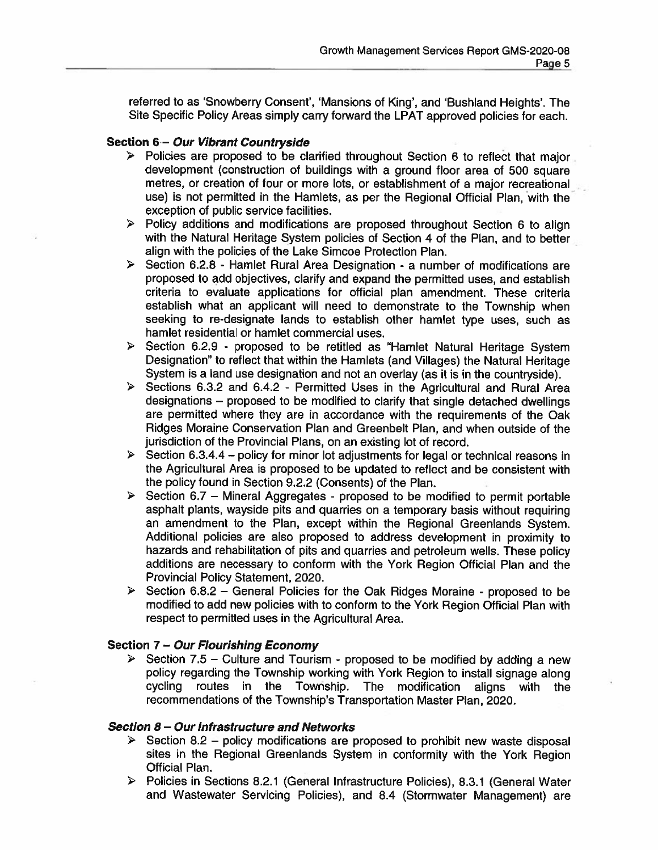referred to as 'Snowberry Consent', 'Mansions of King', and 'Bushland Heights'. The Site Specific Policy Areas simply carry forward the LPAT approved policies for each.

## Section 6 - Our Vibrant Countryside

- $\triangleright$  Policies are proposed to be clarified throughout Section 6 to reflect that major development (construction of buildings with a ground floor area of 500 square metres, or creation of four or more lots, or establishment of a major recreational use) is not permitted in the Hamlets, as per the Regional Official Plan, with the exception of public service facilities.
- > Policy additions and modifications are proposed throughout Section 6 to align with the Natural Heritage System policies of Section 4 of the Plan, and to better align with the policies of the Lake Simcoe Protection Plan.
- > Section 6.2.8 Hamlet Rural Area Designation a number of modifications are proposed to add objectives, clarify and expand the permitted uses, and establish criteria to evaluate applications for official plan amendment. These criteria establish what an applicant will need to demonstrate to the Township when seeking to re-designate lands to establish other hamlet type uses, such as hamlet residential or hamlet commercial uses.
- > Section 6.2.9 proposed to be retitled as "Hamlet Natural Heritage System Designation" to reflect that within the Hamlets (and Villages) the Natural Heritage System is a land use designation and not an overlay (as it is in the countryside).
- > Sections 6.3.2 and 6.4.2 Permitted Uses in the Agricultural and Rural Area designations - proposed to be modified to clarify that single detached dwellings are permitted where they are in accordance with the requirements of the Oak Ridges Moraine Conservation Plan and Greenbelt Plan, and when outside of the jurisdiction of the Provincial Plans, on an existing lot of record.
- Section 6.3.4.4 policy for minor lot adjustments for legal or technical reasons in the Agricultural Area is proposed to be updated to reflect and be consistent with the policy found in Section 9.2.2 (Consents) of the Plan.
- $\triangleright$  Section 6.7 Mineral Aggregates proposed to be modified to permit portable asphalt plants, wayside pits and quarries on a temporary basis without requiring an amendment to the Plan, except within the Regional Greenlands System. Additional policies are also proposed to address development in proximity to hazards and rehabilitation of pits and quarries and petroleum wells. These policy additions are necessary to conform with the York Region Official Plan and the Provincial Policy Statement, 2020.
- Section 6.8.2 General Policies for the Oak Ridges Moraine proposed to be ➤ modified to add new policies with to conform to the York Region Official Plan with respect to permitted uses in the Agricultural Area.

### Section 7 - Our Flourishing Economy

 $\triangleright$  Section 7.5 - Culture and Tourism - proposed to be modified by adding a new policy regarding the Township working with York Region to install signage along cycling routes in the Township. The modification aligns with the recommendations of the Township's Transportation Master Plan, 2020.

### Section 8 - Our Infrastructure and Networks

- Section 8.2 policy modifications are proposed to prohibit new waste disposal sites in the Regional Greenlands System in conformity with the York Region **Official Plan.**
- > Policies in Sections 8.2.1 (General Infrastructure Policies), 8.3.1 (General Water and Wastewater Servicing Policies), and 8.4 (Stormwater Management) are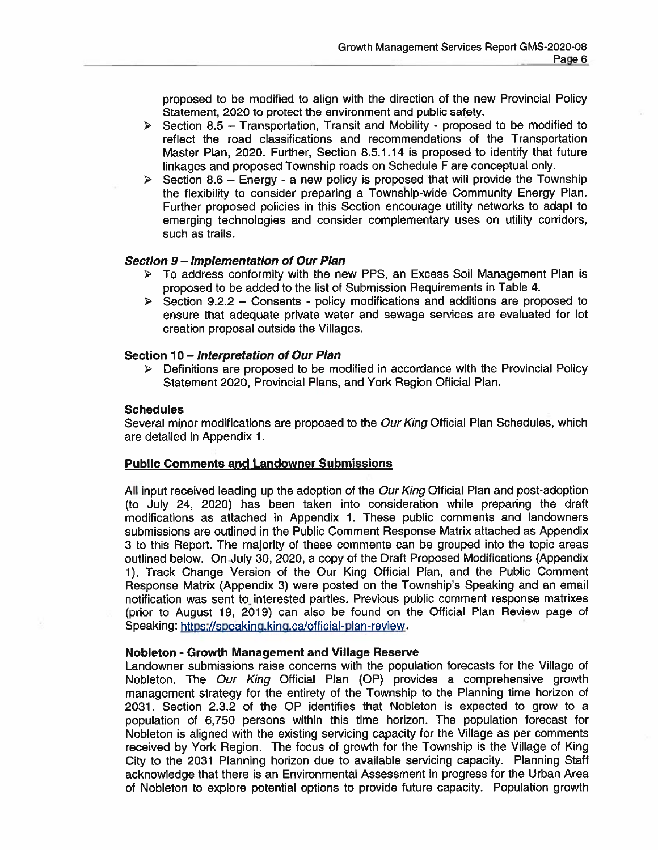proposed to be modified to align with the direction of the new Provincial Policy Statement, 2020 to protect the environment and public safety.

- $\triangleright$  Section 8.5 Transportation, Transit and Mobility proposed to be modified to reflect the road classifications and recommendations of the Transportation Master Plan, 2020. Further, Section 8.5.1.14 is proposed to identify that future linkages and proposed Township roads on Schedule F are conceptual only.
- Section 8.6 Energy a new policy is proposed that will provide the Township  $\blacktriangleright$ the flexibility to consider preparing a Township-wide Community Energy Plan. Further proposed policies in this Section encourage utility networks to adapt to emerging technologies and consider complementary uses on utility corridors, such as trails.

### Section 9 - Implementation of Our Plan

- $\triangleright$  To address conformity with the new PPS, an Excess Soil Management Plan is proposed to be added to the list of Submission Requirements in Table 4.
- $\triangleright$  Section 9.2.2 Consents policy modifications and additions are proposed to ensure that adequate private water and sewage services are evaluated for lot creation proposal outside the Villages.

### Section 10 - Interpretation of Our Plan

> Definitions are proposed to be modified in accordance with the Provincial Policy Statement 2020, Provincial Plans, and York Region Official Plan.

## **Schedules**

Several minor modifications are proposed to the Our King Official Plan Schedules, which are detailed in Appendix 1.

### **Public Comments and Landowner Submissions**

All input received leading up the adoption of the Our King Official Plan and post-adoption (to July 24, 2020) has been taken into consideration while preparing the draft<br>modifications as attached in Appendix 1. These public comments and landowners submissions are outlined in the Public Comment Response Matrix attached as Appendix 3 to this Report. The majority of these comments can be grouped into the topic areas outlined below. On July 30, 2020, a copy of the Draft Proposed Modifications (Appendix 1), Track Change Version of the Our King Official Plan, and the Public Comment Response Matrix (Appendix 3) were posted on the Township's Speaking and an email notification was sent to interested parties. Previous public comment response matrixes (prior to August 19, 2019) can also be found on the Official Plan Review page of Speaking: https://speaking.king.ca/official-plan-review.

### Nobleton - Growth Management and Village Reserve

Landowner submissions raise concerns with the population forecasts for the Village of Nobleton. The Our King Official Plan (OP) provides a comprehensive growth management strategy for the entirety of the Township to the Planning time horizon of 2031. Section 2.3.2 of the OP identifies that Nobleton is expected to grow to a population of 6,750 persons within this time horizon. The population forecast for Nobleton is aligned with the existing servicing capacity for the Village as per comments received by York Region. The focus of growth for the Township is the Village of King City to the 2031 Planning horizon due to available servicing capacity. Planning Staff acknowledge that there is an Environmental Assessment in progress for the Urban Area of Nobleton to explore potential options to provide future capacity. Population growth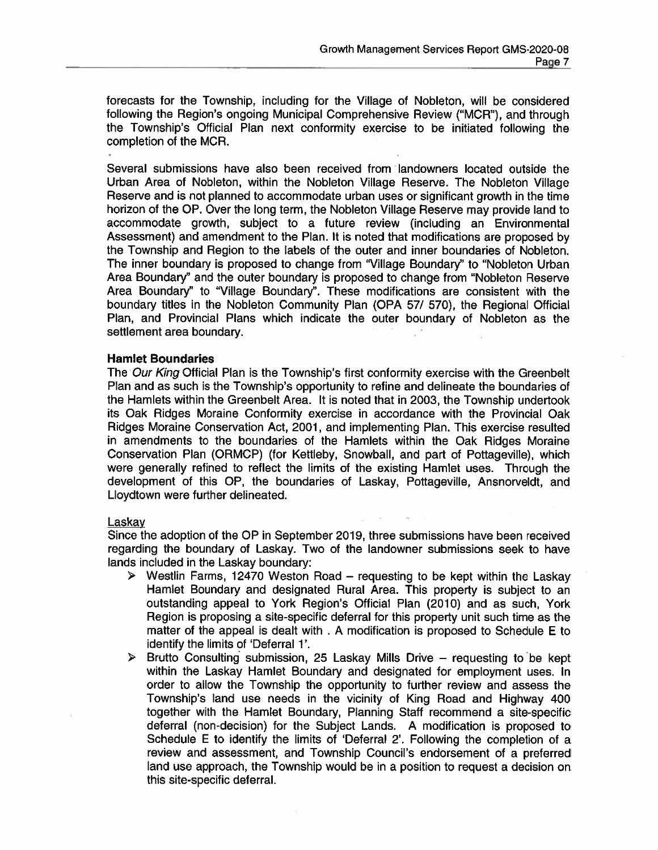forecasts for the Township, including for the Village of Nobleton, will be considered following the Region's ongoing Municipal Comprehensive Review ("MCR"), and through the Township's Official Plan next conformity exercise to be initiated following the completion of the MCR.

Several submissions have also been received from landowners located outside the Urban Area of Nobleton, within the Nobleton Village Reserve. The Nobleton Village Reserve and is not planned to accommodate urban uses or significant growth in the time horizon of the OP. Over the long term, the Nobleton Village Reserve may provide land to accommodate growth, subject to a future review (including an Environmental Assessment) and amendment to the Plan. It is noted that modifications are proposed by the Township and Region to the labels of the outer and inner boundaries of Nobleton. The inner boundary is proposed to change from "Village Boundary" to "Nobleton Urban Area Boundary" and the outer boundary is proposed to change from "Nobleton Reserve Area Boundary" to "Village Boundary". These modifications are consistent with the boundary titles in the Nobleton Community Plan (OPA 57/ 570), the Regional Official Plan, and Provincial Plans which indicate the outer boundary of Nobleton as the settlement area boundary.

#### **Hamlet Boundaries**

The Our King Official Plan is the Township's first conformity exercise with the Greenbelt Plan and as such is the Township's opportunity to refine and delineate the boundaries of the Hamlets within the Greenbelt Area. It is noted that in 2003, the Township undertook its Oak Ridges Moraine Conformity exercise in accordance with the Provincial Oak Ridges Moraine Conservation Act, 2001, and implementing Plan. This exercise resulted in amendments to the boundaries of the Hamlets within the Oak Ridges Moraine Conservation Plan (ORMCP) (for Kettleby, Snowball, and part of Pottageville), which were generally refined to reflect the limits of the existing Hamlet uses. Through the development of this OP, the boundaries of Laskay, Pottageville, Ansnorveldt, and Lloydtown were further delineated.

#### Laskay

Since the adoption of the OP in September 2019, three submissions have been received regarding the boundary of Laskay. Two of the landowner submissions seek to have lands included in the Laskay boundary:

- $\triangleright$  Westlin Farms, 12470 Weston Road requesting to be kept within the Laskay Hamlet Boundary and designated Rural Area. This property is subject to an outstanding appeal to York Region's Official Plan (2010) and as such, York Region is proposing a site-specific deferral for this property unit such time as the matter of the appeal is dealt with . A modification is proposed to Schedule E to identify the limits of 'Deferral 1'.
- $\triangleright$  Brutto Consulting submission, 25 Laskay Mills Drive requesting to be kept within the Laskay Hamlet Boundary and designated for employment uses. In order to allow the Township the opportunity to further review and assess the Township's land use needs in the vicinity of King Road and Highway 400 together with the Hamlet Boundary, Planning Staff recommend a site-specific deferral (non-decision) for the Subject Lands. A modification is proposed to Schedule E to identify the limits of 'Deferral 2'. Following the completion of a review and assessment, and Township Council's endorsement of a preferred land use approach, the Township would be in a position to request a decision on this site-specific deferral.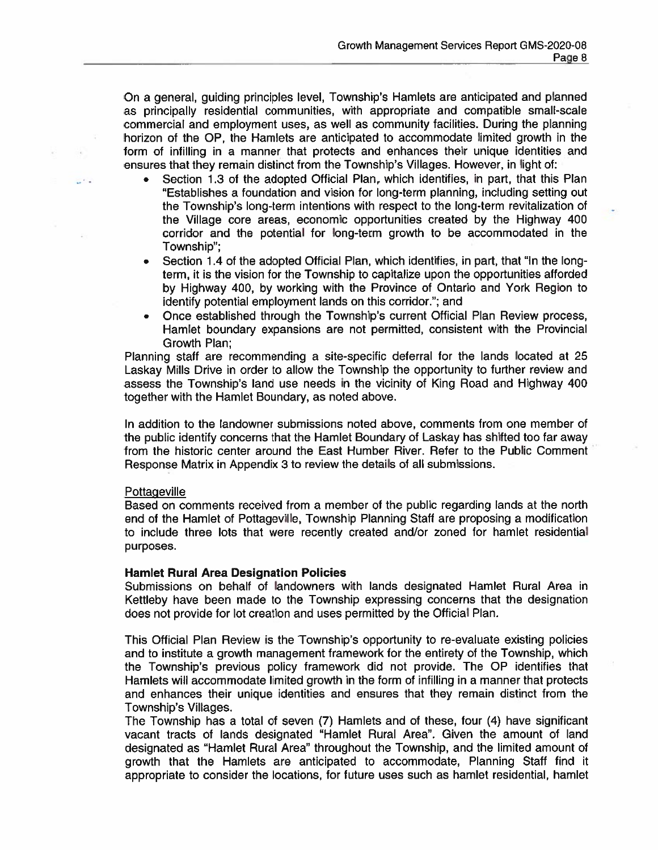On a general, guiding principles level, Township's Hamlets are anticipated and planned as principally residential communities, with appropriate and compatible small-scale commercial and employment uses, as well as community facilities. During the planning horizon of the OP, the Hamlets are anticipated to accommodate limited growth in the form of infilling in a manner that protects and enhances their unique identities and ensures that they remain distinct from the Township's Villages. However, in light of:

- Section 1.3 of the adopted Official Plan, which identifies, in part, that this Plan "Establishes a foundation and vision for long-term planning, including setting out the Township's long-term intentions with respect to the long-term revitalization of the Village core areas, economic opportunities created by the Highway 400 corridor and the potential for long-term growth to be accommodated in the Township";
- Section 1.4 of the adopted Official Plan, which identifies, in part, that "In the long- $\bullet$ term, it is the vision for the Township to capitalize upon the opportunities afforded by Highway 400, by working with the Province of Ontario and York Region to identify potential employment lands on this corridor."; and
- Once established through the Township's current Official Plan Review process,  $\bullet$ Hamlet boundary expansions are not permitted, consistent with the Provincial Growth Plan:

Planning staff are recommending a site-specific deferral for the lands located at 25 Laskay Mills Drive in order to allow the Township the opportunity to further review and assess the Township's land use needs in the vicinity of King Road and Highway 400 together with the Hamlet Boundary, as noted above.

In addition to the landowner submissions noted above, comments from one member of the public identify concerns that the Hamlet Boundary of Laskay has shifted too far away from the historic center around the East Humber River. Refer to the Public Comment Response Matrix in Appendix 3 to review the details of all submissions.

## Pottageville

Based on comments received from a member of the public regarding lands at the north end of the Hamlet of Pottageville, Township Planning Staff are proposing a modification to include three lots that were recently created and/or zoned for hamlet residential purposes.

## **Hamlet Rural Area Designation Policies**

Submissions on behalf of landowners with lands designated Hamlet Rural Area in Kettleby have been made to the Township expressing concerns that the designation does not provide for lot creation and uses permitted by the Official Plan.

This Official Plan Review is the Township's opportunity to re-evaluate existing policies and to institute a growth management framework for the entirety of the Township, which the Township's previous policy framework did not provide. The OP identifies that Hamlets will accommodate limited growth in the form of infilling in a manner that protects and enhances their unique identities and ensures that they remain distinct from the Township's Villages.

The Township has a total of seven (7) Hamlets and of these, four (4) have significant vacant tracts of lands designated "Hamlet Rural Area". Given the amount of land designated as "Hamlet Rural Area" throughout the Township, and the limited amount of growth that the Hamlets are anticipated to accommodate, Planning Staff find it appropriate to consider the locations, for future uses such as hamlet residential, hamlet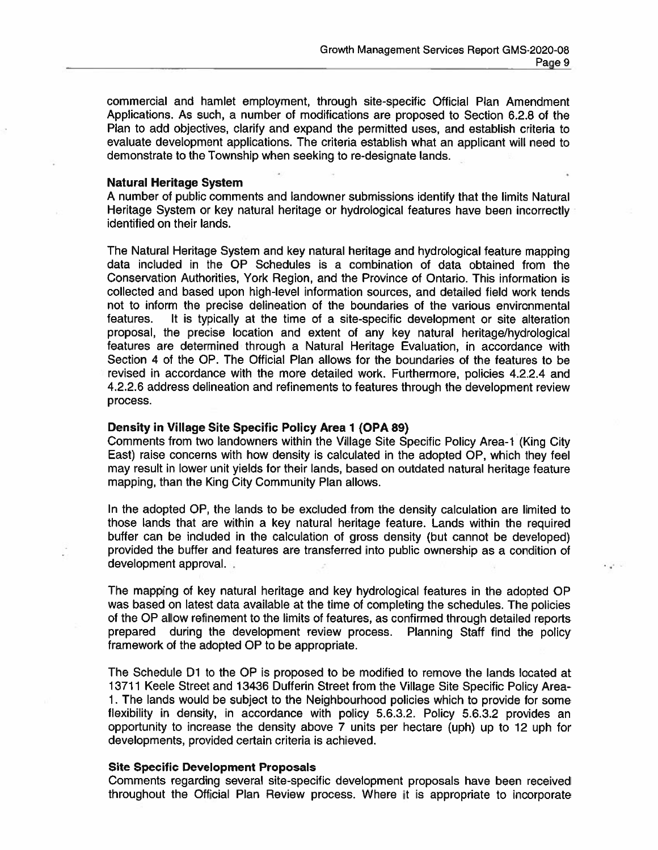$\mathbf{r} = \mathbf{r}$ 

commercial and hamlet employment, through site-specific Official Plan Amendment Applications. As such, a number of modifications are proposed to Section 6.2.8 of the Plan to add objectives, clarify and expand the permitted uses, and establish criteria to evaluate development applications. The criteria establish what an applicant will need to demonstrate to the Township when seeking to re-designate lands.

#### **Natural Heritage System**

A number of public comments and landowner submissions identify that the limits Natural Heritage System or key natural heritage or hydrological features have been incorrectly identified on their lands.

The Natural Heritage System and key natural heritage and hydrological feature mapping data included in the OP Schedules is a combination of data obtained from the Conservation Authorities, York Region, and the Province of Ontario. This information is collected and based upon high-level information sources, and detailed field work tends not to inform the precise delineation of the boundaries of the various environmental features. It is typically at the time of a site-specific development or site alteration proposal, the precise location and extent of any key natural heritage/hydrological features are determined through a Natural Heritage Evaluation, in accordance with Section 4 of the OP. The Official Plan allows for the boundaries of the features to be revised in accordance with the more detailed work. Furthermore, policies 4.2.2.4 and 4.2.2.6 address delineation and refinements to features through the development review process.

### Density in Village Site Specific Policy Area 1 (OPA 89)

Comments from two landowners within the Village Site Specific Policy Area-1 (King City East) raise concerns with how density is calculated in the adopted OP, which they feel may result in lower unit yields for their lands, based on outdated natural heritage feature mapping, than the King City Community Plan allows.

In the adopted OP, the lands to be excluded from the density calculation are limited to those lands that are within a key natural heritage feature. Lands within the required buffer can be included in the calculation of gross density (but cannot be developed) provided the buffer and features are transferred into public ownership as a condition of development approval.

The mapping of key natural heritage and key hydrological features in the adopted OP was based on latest data available at the time of completing the schedules. The policies of the OP allow refinement to the limits of features, as confirmed through detailed reports prepared during the development review process. Planning Staff find the policy framework of the adopted OP to be appropriate.

The Schedule D1 to the OP is proposed to be modified to remove the lands located at 13711 Keele Street and 13436 Dufferin Street from the Village Site Specific Policy Area-1. The lands would be subject to the Neighbourhood policies which to provide for some flexibility in density, in accordance with policy 5.6.3.2. Policy 5.6.3.2 provides an opportunity to increase the density above 7 units per hectare (uph) up to 12 uph for developments, provided certain criteria is achieved.

### **Site Specific Development Proposals**

Comments regarding several site-specific development proposals have been received throughout the Official Plan Review process. Where it is appropriate to incorporate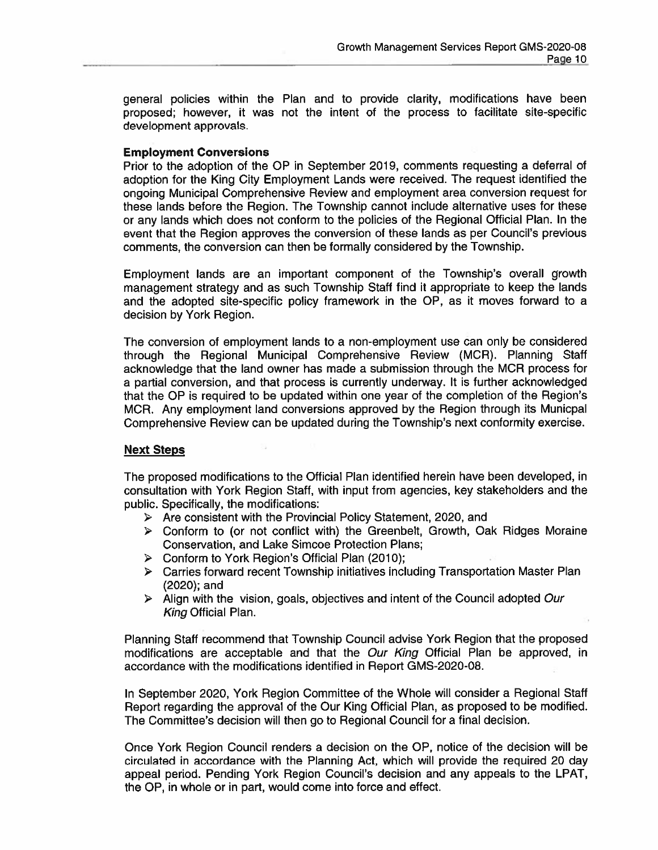general policies within the Plan and to provide clarity, modifications have been proposed; however, it was not the intent of the process to facilitate site-specific development approvals.

## **Employment Conversions**

Prior to the adoption of the OP in September 2019, comments requesting a deferral of adoption for the King City Employment Lands were received. The request identified the ongoing Municipal Comprehensive Review and employment area conversion request for these lands before the Region. The Township cannot include alternative uses for these or any lands which does not conform to the policies of the Regional Official Plan. In the event that the Region approves the conversion of these lands as per Council's previous comments, the conversion can then be formally considered by the Township.

Employment lands are an important component of the Township's overall growth management strategy and as such Township Staff find it appropriate to keep the lands and the adopted site-specific policy framework in the OP, as it moves forward to a decision by York Region.

The conversion of employment lands to a non-employment use can only be considered through the Regional Municipal Comprehensive Review (MCR). Planning Staff acknowledge that the land owner has made a submission through the MCR process for a partial conversion, and that process is currently underway. It is further acknowledged that the OP is required to be updated within one year of the completion of the Region's MCR. Any employment land conversions approved by the Region through its Municpal Comprehensive Review can be updated during the Township's next conformity exercise.

## **Next Steps**

The proposed modifications to the Official Plan identified herein have been developed, in consultation with York Region Staff, with input from agencies, key stakeholders and the public. Specifically, the modifications:

- $\triangleright$  Are consistent with the Provincial Policy Statement, 2020, and
- > Conform to (or not conflict with) the Greenbelt, Growth, Oak Ridges Moraine Conservation, and Lake Simcoe Protection Plans;
- > Conform to York Region's Official Plan (2010);
- $\triangleright$  Carries forward recent Township initiatives including Transportation Master Plan (2020); and
- $\triangleright$  Alian with the vision, goals, objectives and intent of the Council adopted Our King Official Plan.

Planning Staff recommend that Township Council advise York Region that the proposed modifications are acceptable and that the Our King Official Plan be approved. in accordance with the modifications identified in Report GMS-2020-08.

In September 2020, York Region Committee of the Whole will consider a Regional Staff Report regarding the approval of the Our King Official Plan, as proposed to be modified. The Committee's decision will then go to Regional Council for a final decision.

Once York Region Council renders a decision on the OP, notice of the decision will be circulated in accordance with the Planning Act, which will provide the required 20 day appeal period. Pending York Region Council's decision and any appeals to the LPAT, the OP, in whole or in part, would come into force and effect.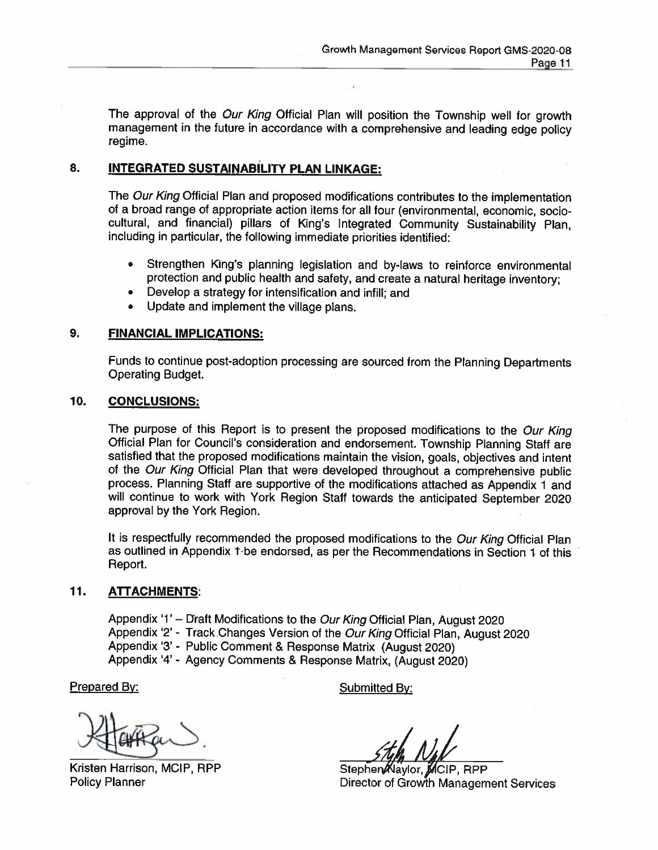The approval of the Our King Official Plan will position the Township well for growth management in the future in accordance with a comprehensive and leading edge policy regime.

#### 8. **INTEGRATED SUSTAINABILITY PLAN LINKAGE:**

The Our King Official Plan and proposed modifications contributes to the implementation of a broad range of appropriate action items for all four (environmental, economic, sociocultural, and financial) pillars of King's Integrated Community Sustainability Plan. including in particular, the following immediate priorities identified:

- Strengthen King's planning legislation and by-laws to reinforce environmental  $\bullet$ protection and public health and safety, and create a natural heritage inventory;
- Develop a strategy for intensification and infill; and
- Update and implement the village plans.

#### $9<sub>1</sub>$ **FINANCIAL IMPLICATIONS:**

Funds to continue post-adoption processing are sourced from the Planning Departments **Operating Budget.** 

#### 10. **CONCLUSIONS:**

The purpose of this Report is to present the proposed modifications to the Our King Official Plan for Council's consideration and endorsement. Township Planning Staff are satisfied that the proposed modifications maintain the vision, goals, objectives and intent of the Our King Official Plan that were developed throughout a comprehensive public process. Planning Staff are supportive of the modifications attached as Appendix 1 and will continue to work with York Region Staff towards the anticipated September 2020 approval by the York Region.

It is respectfully recommended the proposed modifications to the Our King Official Plan as outlined in Appendix 1 be endorsed, as per the Recommendations in Section 1 of this Report.

#### $11.$ **ATTACHMENTS:**

Appendix '1' - Draft Modifications to the Our King Official Plan, August 2020 Appendix '2' - Track Changes Version of the Our King Official Plan, August 2020 Appendix '3' - Public Comment & Response Matrix (August 2020) Appendix '4' - Agency Comments & Response Matrix, (August 2020)

Prepared By:

Kristen Harrison, MCIP, RPP **Policy Planner** 

Submitted By:

Stephen Naylor, MCIP, RPP Director of Growth Management Services